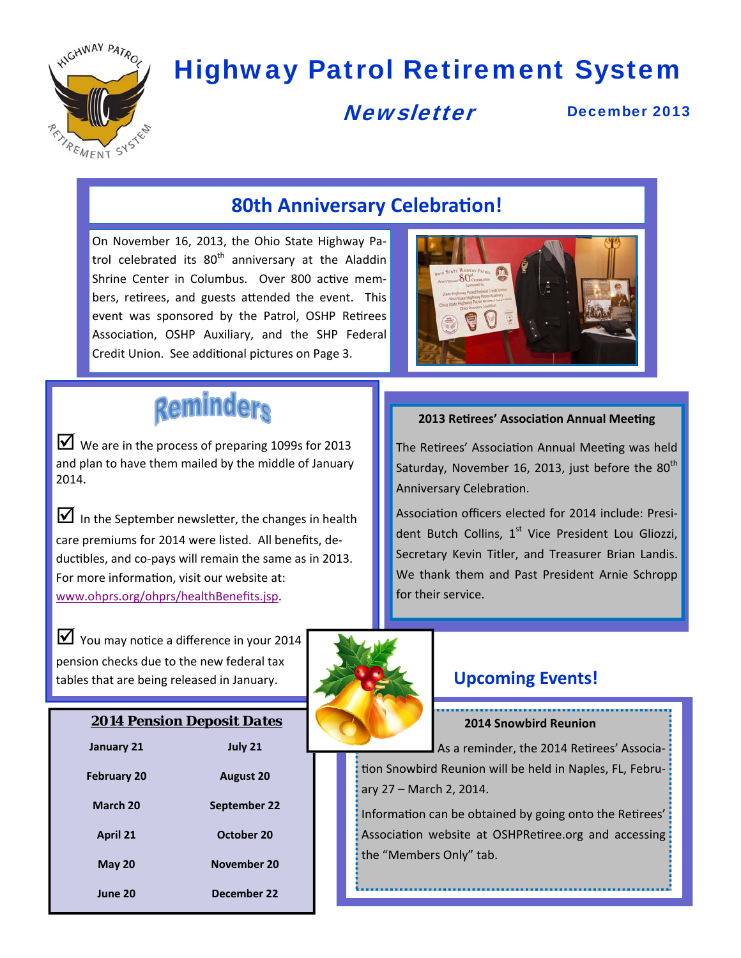

# Highway Patrol Retirement System

# **Newsletter**

December 2013

## **80th Anniversary Celebration!**

On November 16, 2013, the Ohio State Highway Pa‐ trol celebrated its 80<sup>th</sup> anniversary at the Aladdin Shrine Center in Columbus. Over 800 active members, retirees, and guests attended the event. This event was sponsored by the Patrol, OSHP Retirees Association, OSHP Auxiliary, and the SHP Federal Credit Union. See additional pictures on Page 3.



# **Reminders**

 $\triangleright$  We are in the process of preparing 1099s for 2013 and plan to have them mailed by the middle of January 2014.

In the September newsletter, the changes in health care premiums for 2014 were listed. All benefits, de‐ ductibles, and co-pays will remain the same as in 2013. For more information, visit our website at: www.ohprs.org/ohprs/healthBenefits.jsp.

 $\triangleright$  You may notice a difference in your 2014 pension checks due to the new federal tax tables that are being released in January.

| <b>2014 Pension Deposit Dates</b> |                  |  |
|-----------------------------------|------------------|--|
| January 21                        | July 21          |  |
| <b>February 20</b>                | <b>August 20</b> |  |
| <b>March 20</b>                   | September 22     |  |
| <b>April 21</b>                   | October 20       |  |
| <b>May 20</b>                     | November 20      |  |
| June 20                           | December 22      |  |

#### **2013 Retirees' Association Annual Meeting**

The Retirees' Association Annual Meeting was held Saturday, November 16, 2013, just before the  $80<sup>th</sup>$ Anniversary Celebration.

Association officers elected for 2014 include: President Butch Collins, 1<sup>st</sup> Vice President Lou Gliozzi, Secretary Kevin Titler, and Treasurer Brian Landis. We thank them and Past President Arnie Schropp for their service.



#### **Upcoming Events!**

*2014 Pension Deposit Dates* **2014 Snowbird Reunion**

As a reminder, the 2014 Retirees' Association Snowbird Reunion will be held in Naples, FL, February 27 – March 2, 2014.

Information can be obtained by going onto the Retirees' Association website at OSHPRetiree.org and accessing the "Members Only" tab.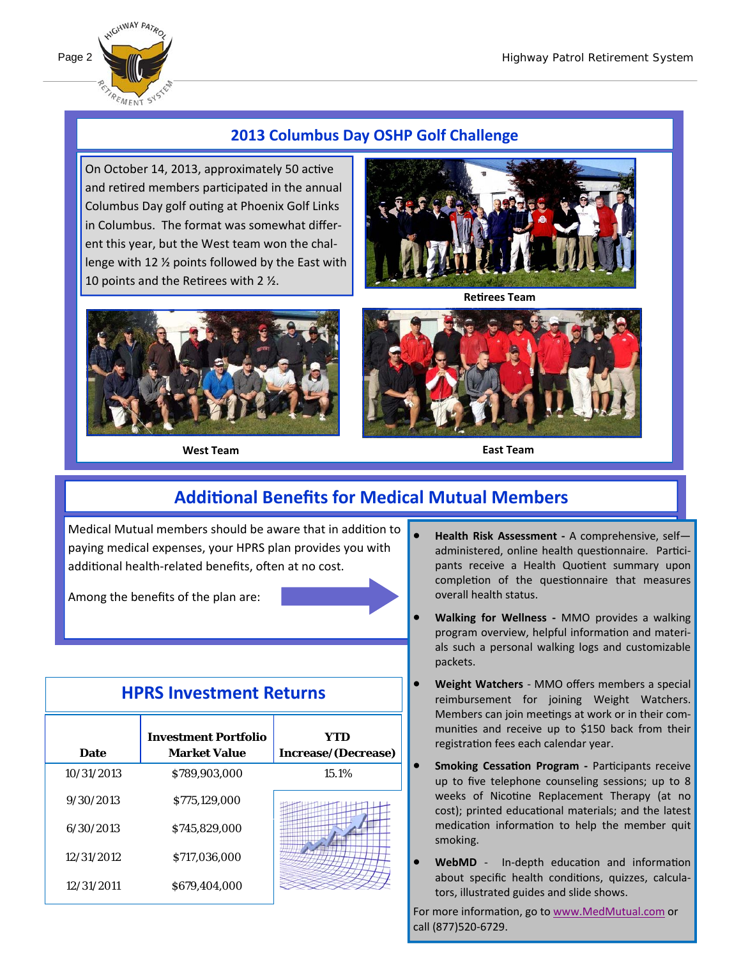

### **2013 Columbus Day OSHP Golf Challenge**

On October 14, 2013, approximately 50 active and retired members participated in the annual Columbus Day golf outing at Phoenix Golf Links in Columbus. The format was somewhat differ‐ ent this year, but the West team won the chal‐ lenge with 12 ½ points followed by the East with 10 points and the Retirees with 2  $\frac{1}{2}$ .



**West Team East Team** 



**ReƟrees Team** 



# **AddiƟonal Benefits for Medical Mutual Members**

Medical Mutual members should be aware that in addition to paying medical expenses, your HPRS plan provides you with additional health-related benefits, often at no cost.

Among the benefits of the plan are:

## **HPRS Investment Returns**

| <b>Date</b> | <b>Investment Portfolio</b><br><b>Market Value</b> | YTD<br>Increase/(Decrease) |
|-------------|----------------------------------------------------|----------------------------|
| 10/31/2013  | \$789,903,000                                      | 15.1%                      |
| 9/30/2013   | \$775,129,000                                      |                            |
| 6/30/2013   | \$745,829,000                                      |                            |
| 12/31/2012  | \$717,036,000                                      |                            |
| 12/31/2011  | \$679,404,000                                      |                            |

- **Health Risk Assessment ‐** A comprehensive, self administered, online health questionnaire. Participants receive a Health Quotient summary upon completion of the questionnaire that measures overall health status.
- **Walking for Wellness ‐** MMO provides a walking program overview, helpful information and materials such a personal walking logs and customizable packets.
- **Weight Watchers** ‐ MMO offers members a special reimbursement for joining Weight Watchers. Members can join meetings at work or in their communities and receive up to \$150 back from their registration fees each calendar year.
- **Smoking Cessation Program Participants receive** up to five telephone counseling sessions; up to 8 weeks of Nicotine Replacement Therapy (at no cost); printed educational materials; and the latest medication information to help the member quit smoking.
- WebMD In-depth education and information about specific health conditions, quizzes, calculators, illustrated guides and slide shows.

For more information, go to www.MedMutual.com or call (877)520‐6729.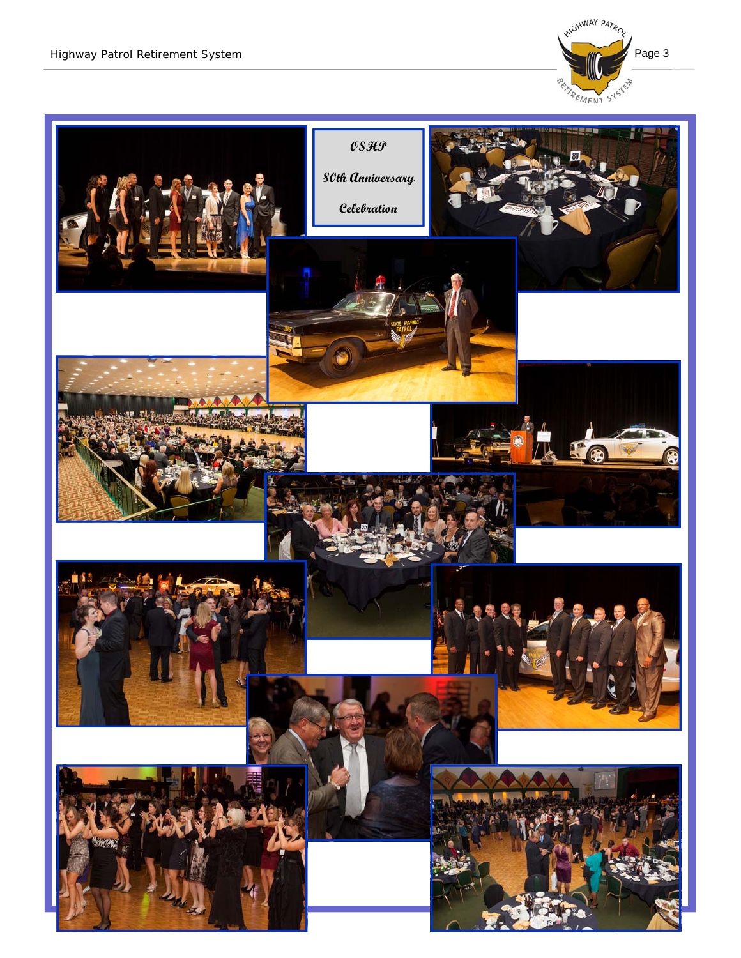

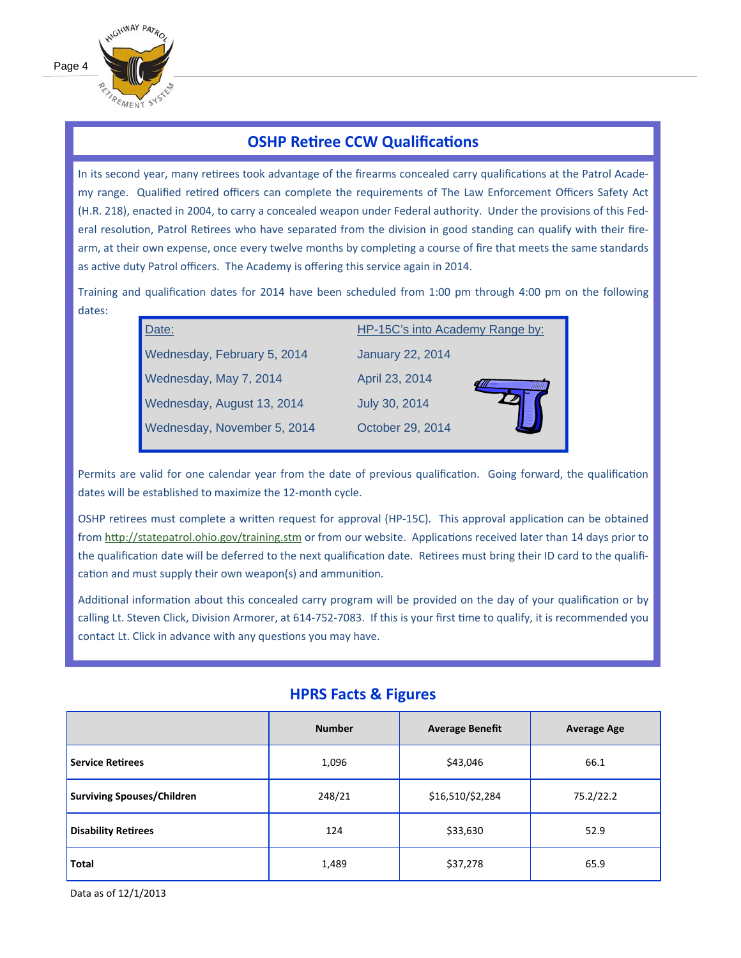

#### **OSHP Retiree CCW Qualifications**

In its second year, many retirees took advantage of the firearms concealed carry qualifications at the Patrol Academy range. Qualified retired officers can complete the requirements of The Law Enforcement Officers Safety Act (H.R. 218), enacted in 2004, to carry a concealed weapon under Federal authority. Under the provisions of this Federal resolution, Patrol Retirees who have separated from the division in good standing can qualify with their firearm, at their own expense, once every twelve months by completing a course of fire that meets the same standards as active duty Patrol officers. The Academy is offering this service again in 2014.

Training and qualification dates for 2014 have been scheduled from 1:00 pm through 4:00 pm on the following dates:

| Date:                       | HP-15C's into Academy Range by: |  |  |
|-----------------------------|---------------------------------|--|--|
| Wednesday, February 5, 2014 | <b>January 22, 2014</b>         |  |  |
| Wednesday, May 7, 2014      | April 23, 2014                  |  |  |
| Wednesday, August 13, 2014  | July 30, 2014                   |  |  |
| Wednesday, November 5, 2014 | October 29, 2014                |  |  |
|                             |                                 |  |  |

Permits are valid for one calendar year from the date of previous qualification. Going forward, the qualification dates will be established to maximize the 12-month cycle.

OSHP retirees must complete a written request for approval (HP-15C). This approval application can be obtained from http://statepatrol.ohio.gov/training.stm or from our website. Applications received later than 14 days prior to the qualification date will be deferred to the next qualification date. Retirees must bring their ID card to the qualification and must supply their own weapon(s) and ammunition.

Additional information about this concealed carry program will be provided on the day of your qualification or by calling Lt. Steven Click, Division Armorer, at 614-752-7083. If this is your first time to qualify, it is recommended you contact Lt. Click in advance with any questions you may have.

|                                   | <b>Number</b> | <b>Average Benefit</b> | <b>Average Age</b> |
|-----------------------------------|---------------|------------------------|--------------------|
| <b>Service Retirees</b>           | 1,096         | \$43,046               | 66.1               |
| <b>Surviving Spouses/Children</b> | 248/21        | \$16,510/\$2,284       | 75.2/22.2          |
| <b>Disability Retirees</b>        | 124           | \$33,630               | 52.9               |
| <b>Total</b>                      | 1,489         | \$37,278               | 65.9               |

#### **HPRS Facts & Figures**

Data as of 12/1/2013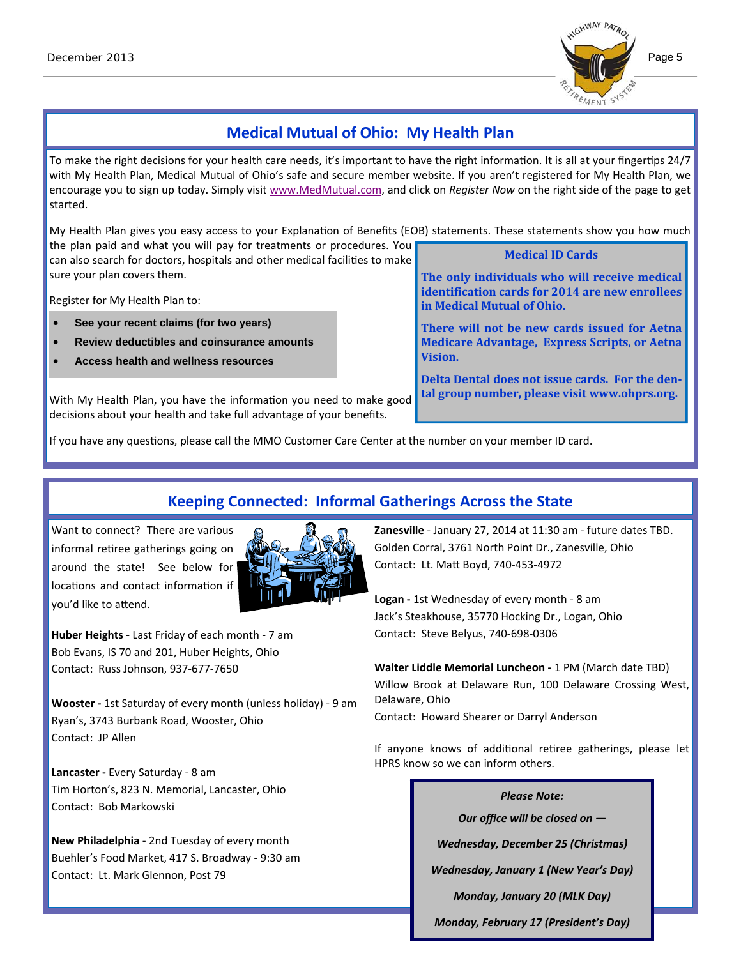

### **Medical Mutual of Ohio: My Health Plan**

To make the right decisions for your health care needs, it's important to have the right information. It is all at your fingertips 24/7 with My Health Plan, Medical Mutual of Ohio's safe and secure member website. If you aren't registered for My Health Plan, we encourage you to sign up today. Simply visit www.MedMutual.com, and click on *Register Now* on the right side of the page to get started.

My Health Plan gives you easy access to your Explanation of Benefits (EOB) statements. These statements show you how much the plan paid and what you will pay for treatments or procedures. You **Medical ID Cards**

can also search for doctors, hospitals and other medical facilities to make sure your plan covers them.

Register for My Health Plan to:

- **See your recent claims (for two years)**
- **Review deductibles and coinsurance amounts**
- **Access health and wellness resources**

**The only individuals who will receive medical identification cards for 2014 are new enrollees in Medical Mutual of Ohio.** 

**There will not be new cards issued for Aetna Medicare Advantage, Express Scripts, or Aetna Vision.** 

**Delta Dental does not issue cards. For the dental group number, please visit www.ohprs.org.**

With My Health Plan, you have the information you need to make good decisions about your health and take full advantage of your benefits.

If you have any questions, please call the MMO Customer Care Center at the number on your member ID card.

## **Keeping Connected: Informal Gatherings Across the State**

Want to connect? There are various informal retiree gatherings going on around the state! See below for locations and contact information if you'd like to aƩend.



**Huber Heights** ‐ Last Friday of each month ‐ 7 am Bob Evans, IS 70 and 201, Huber Heights, Ohio Contact: Russ Johnson, 937‐677‐7650

**Wooster ‐** 1st Saturday of every month (unless holiday) ‐ 9 am Ryan's, 3743 Burbank Road, Wooster, Ohio Contact: JP Allen

**Lancaster ‐** Every Saturday ‐ 8 am Tim Horton's, 823 N. Memorial, Lancaster, Ohio Contact: Bob Markowski

**New Philadelphia** ‐ 2nd Tuesday of every month Buehler's Food Market, 417 S. Broadway ‐ 9:30 am Contact: Lt. Mark Glennon, Post 79

**Zanesville** ‐ January 27, 2014 at 11:30 am ‐ future dates TBD. Golden Corral, 3761 North Point Dr., Zanesville, Ohio Contact: Lt. MaƩ Boyd, 740‐453‐4972

**Logan ‐** 1st Wednesday of every month ‐ 8 am Jack's Steakhouse, 35770 Hocking Dr., Logan, Ohio Contact: Steve Belyus, 740‐698‐0306

**Walter Liddle Memorial Luncheon ‐** 1 PM (March date TBD) Willow Brook at Delaware Run, 100 Delaware Crossing West, Delaware, Ohio

Contact: Howard Shearer or Darryl Anderson

If anyone knows of additional retiree gatherings, please let HPRS know so we can inform others.

#### *Please Note:*

*Our office will be closed on —*

*Wednesday, December 25 (Christmas)*

*Wednesday, January 1 (New Year's Day)*

*Monday, January 20 (MLK Day)*

*Monday, February 17 (President's Day)*